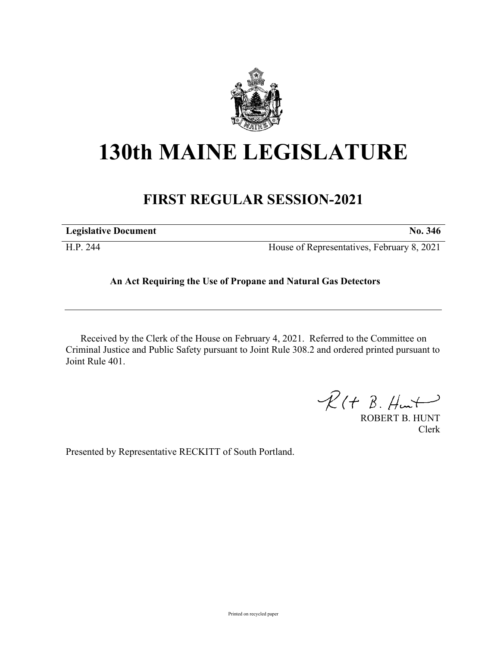

# **130th MAINE LEGISLATURE**

## **FIRST REGULAR SESSION-2021**

| <b>Legislative Document</b> | No. 346                                    |
|-----------------------------|--------------------------------------------|
| H.P. 244                    | House of Representatives, February 8, 2021 |

### **An Act Requiring the Use of Propane and Natural Gas Detectors**

Received by the Clerk of the House on February 4, 2021. Referred to the Committee on Criminal Justice and Public Safety pursuant to Joint Rule 308.2 and ordered printed pursuant to Joint Rule 401.

 $R(H B. H<sub>un</sub>+)$ 

ROBERT B. HUNT Clerk

Presented by Representative RECKITT of South Portland.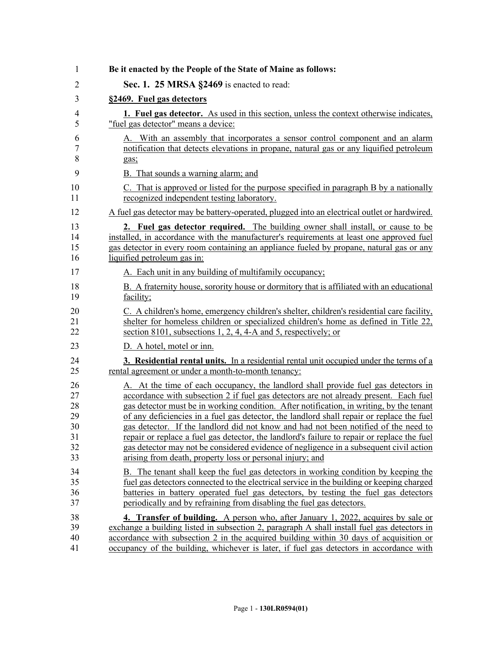| Be it enacted by the People of the State of Maine as follows:                                                                                                                                                                                                                                                                                                                                                                                                                                                                                                                                                                                                                                                     |
|-------------------------------------------------------------------------------------------------------------------------------------------------------------------------------------------------------------------------------------------------------------------------------------------------------------------------------------------------------------------------------------------------------------------------------------------------------------------------------------------------------------------------------------------------------------------------------------------------------------------------------------------------------------------------------------------------------------------|
| Sec. 1. 25 MRSA §2469 is enacted to read:                                                                                                                                                                                                                                                                                                                                                                                                                                                                                                                                                                                                                                                                         |
| §2469. Fuel gas detectors                                                                                                                                                                                                                                                                                                                                                                                                                                                                                                                                                                                                                                                                                         |
| 1. Fuel gas detector. As used in this section, unless the context otherwise indicates,<br>"fuel gas detector" means a device:                                                                                                                                                                                                                                                                                                                                                                                                                                                                                                                                                                                     |
| A. With an assembly that incorporates a sensor control component and an alarm<br>notification that detects elevations in propane, natural gas or any liquified petroleum<br>gas:                                                                                                                                                                                                                                                                                                                                                                                                                                                                                                                                  |
| B. That sounds a warning alarm; and                                                                                                                                                                                                                                                                                                                                                                                                                                                                                                                                                                                                                                                                               |
| C. That is approved or listed for the purpose specified in paragraph B by a nationally<br>recognized independent testing laboratory.                                                                                                                                                                                                                                                                                                                                                                                                                                                                                                                                                                              |
| A fuel gas detector may be battery-operated, plugged into an electrical outlet or hardwired.                                                                                                                                                                                                                                                                                                                                                                                                                                                                                                                                                                                                                      |
| 2. Fuel gas detector required. The building owner shall install, or cause to be<br>installed, in accordance with the manufacturer's requirements at least one approved fuel<br>gas detector in every room containing an appliance fueled by propane, natural gas or any<br>liquified petroleum gas in:                                                                                                                                                                                                                                                                                                                                                                                                            |
| A. Each unit in any building of multifamily occupancy;                                                                                                                                                                                                                                                                                                                                                                                                                                                                                                                                                                                                                                                            |
| B. A fraternity house, sorority house or dormitory that is affiliated with an educational<br>facility;                                                                                                                                                                                                                                                                                                                                                                                                                                                                                                                                                                                                            |
| C. A children's home, emergency children's shelter, children's residential care facility,<br>shelter for homeless children or specialized children's home as defined in Title 22,<br>section 8101, subsections 1, 2, 4, 4-A and 5, respectively; or                                                                                                                                                                                                                                                                                                                                                                                                                                                               |
| D. A hotel, motel or inn.                                                                                                                                                                                                                                                                                                                                                                                                                                                                                                                                                                                                                                                                                         |
| <b>3. Residential rental units.</b> In a residential rental unit occupied under the terms of a<br>rental agreement or under a month-to-month tenancy:                                                                                                                                                                                                                                                                                                                                                                                                                                                                                                                                                             |
| A. At the time of each occupancy, the landlord shall provide fuel gas detectors in<br>accordance with subsection 2 if fuel gas detectors are not already present. Each fuel<br>gas detector must be in working condition. After notification, in writing, by the tenant<br>of any deficiencies in a fuel gas detector, the landlord shall repair or replace the fuel<br>gas detector. If the landlord did not know and had not been notified of the need to<br>repair or replace a fuel gas detector, the landlord's failure to repair or replace the fuel<br>gas detector may not be considered evidence of negligence in a subsequent civil action<br>arising from death, property loss or personal injury; and |
| B. The tenant shall keep the fuel gas detectors in working condition by keeping the<br>fuel gas detectors connected to the electrical service in the building or keeping charged<br>batteries in battery operated fuel gas detectors, by testing the fuel gas detectors<br>periodically and by refraining from disabling the fuel gas detectors.                                                                                                                                                                                                                                                                                                                                                                  |
| 4. Transfer of building. A person who, after January 1, 2022, acquires by sale or<br>exchange a building listed in subsection 2, paragraph A shall install fuel gas detectors in<br>accordance with subsection 2 in the acquired building within 30 days of acquisition or<br>occupancy of the building, whichever is later, if fuel gas detectors in accordance with                                                                                                                                                                                                                                                                                                                                             |